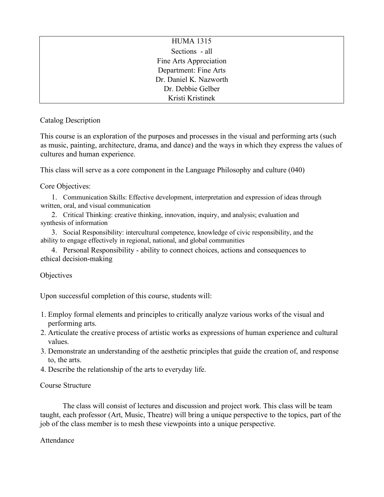| <b>HUMA 1315</b>       |
|------------------------|
| Sections - all         |
| Fine Arts Appreciation |
| Department: Fine Arts  |
| Dr. Daniel K. Nazworth |
| Dr. Debbie Gelber      |
| Kristi Kristinek       |

Catalog Description

This course is an exploration of the purposes and processes in the visual and performing arts (such as music, painting, architecture, drama, and dance) and the ways in which they express the values of cultures and human experience.

This class will serve as a core component in the Language Philosophy and culture (040)

Core Objectives:

1. Communication Skills: Effective development, interpretation and expression of ideas through written, oral, and visual communication

2. Critical Thinking: creative thinking, innovation, inquiry, and analysis; evaluation and synthesis of information

3. Social Responsibility: intercultural competence, knowledge of civic responsibility, and the ability to engage effectively in regional, national, and global communities

4. Personal Responsibility - ability to connect choices, actions and consequences to ethical decision-making

**Objectives** 

Upon successful completion of this course, students will:

- 1. Employ formal elements and principles to critically analyze various works of the visual and performing arts.
- 2. Articulate the creative process of artistic works as expressions of human experience and cultural values.
- 3. Demonstrate an understanding of the aesthetic principles that guide the creation of, and response to, the arts.
- 4. Describe the relationship of the arts to everyday life.

Course Structure

The class will consist of lectures and discussion and project work. This class will be team taught, each professor (Art, Music, Theatre) will bring a unique perspective to the topics, part of the job of the class member is to mesh these viewpoints into a unique perspective.

## Attendance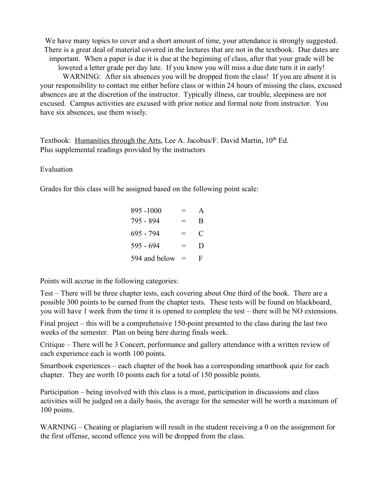We have many topics to cover and a short amount of time, your attendance is strongly suggested. There is a great deal of material covered in the lectures that are not in the textbook. Due dates are important. When a paper is due it is due at the beginning of class, after that your grade will be lowered a letter grade per day late. If you know you will miss a due date turn it in early! WARNING: After six absences you will be dropped from the class! If you are absent it is your responsibility to contact me either before class or within 24 hours of missing the class, excused absences are at the discretion of the instructor. Typically illness, car trouble, sleepiness are not excused. Campus activities are excused with prior notice and formal note from instructor. You have six absences, use them wisely.

Textbook: Humanities through the Arts, Lee A. Jacobus/F. David Martin, 10<sup>th</sup> Ed. Plus supplemental readings provided by the instructors

Evaluation

Grades for this class will be assigned based on the following point scale:

| 895 -1000     | =   | A |
|---------------|-----|---|
| 795 - 894     | =   | R |
| 695 - 794     | $=$ | C |
| 595 - 694     | $=$ | D |
| 594 and below |     | F |

Points will accrue in the following categories:

Test – There will be three chapter tests, each covering about One third of the book. There are a possible 300 points to be earned from the chapter tests. These tests will be found on blackboard, you will have 1 week from the time it is opened to complete the test – there will be NO extensions.

Final project – this will be a comprehensive 150-point presented to the class during the last two weeks of the semester. Plan on being here during finals week.

Critique – There will be 3 Concert, performance and gallery attendance with a written review of each experience each is worth 100 points.

Smartbook experiences – each chapter of the book has a corresponding smartbook quiz for each chapter. They are worth 10 points each for a total of 150 possible points.

Participation – being involved with this class is a must, participation in discussions and class activities will be judged on a daily basis, the average for the semester will be worth a maximum of 100 points.

WARNING – Cheating or plagiarism will result in the student receiving a 0 on the assignment for the first offense, second offence you will be dropped from the class.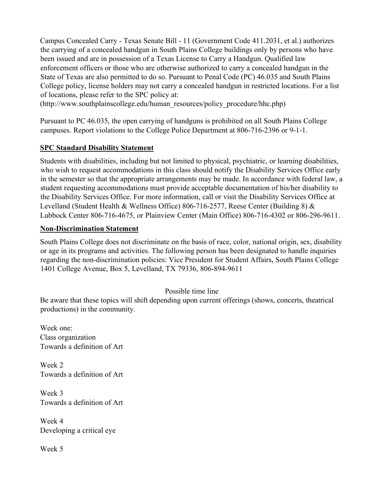Campus Concealed Carry - Texas Senate Bill - 11 (Government Code 411.2031, et al.) authorizes the carrying of a concealed handgun in South Plains College buildings only by persons who have been issued and are in possession of a Texas License to Carry a Handgun. Qualified law enforcement officers or those who are otherwise authorized to carry a concealed handgun in the State of Texas are also permitted to do so. Pursuant to Penal Code (PC) 46.035 and South Plains College policy, license holders may not carry a concealed handgun in restricted locations. For a list of locations, please refer to the SPC policy at:

(http://www.southplainscollege.edu/human\_resources/policy\_procedure/hhc.php)

Pursuant to PC 46.035, the open carrying of handguns is prohibited on all South Plains College campuses. Report violations to the College Police Department at 806-716-2396 or 9-1-1.

## **SPC Standard Disability Statement**

Students with disabilities, including but not limited to physical, psychiatric, or learning disabilities, who wish to request accommodations in this class should notify the Disability Services Office early in the semester so that the appropriate arrangements may be made. In accordance with federal law, a student requesting accommodations must provide acceptable documentation of his/her disability to the Disability Services Office. For more information, call or visit the Disability Services Office at Levelland (Student Health & Wellness Office) 806-716-2577, Reese Center (Building 8) & Lubbock Center 806-716-4675, or Plainview Center (Main Office) 806-716-4302 or 806-296-9611.

## **Non-Discrimination Statement**

South Plains College does not discriminate on the basis of race, color, national origin, sex, disability or age in its programs and activities. The following person has been designated to handle inquiries regarding the non-discrimination policies: Vice President for Student Affairs, South Plains College 1401 College Avenue, Box 5, Levelland, TX 79336, 806-894-9611

## Possible time line

Be aware that these topics will shift depending upon current offerings (shows, concerts, theatrical productions) in the community.

Week one: Class organization Towards a definition of Art

Week 2 Towards a definition of Art

Week 3 Towards a definition of Art

Week 4 Developing a critical eye

Week 5